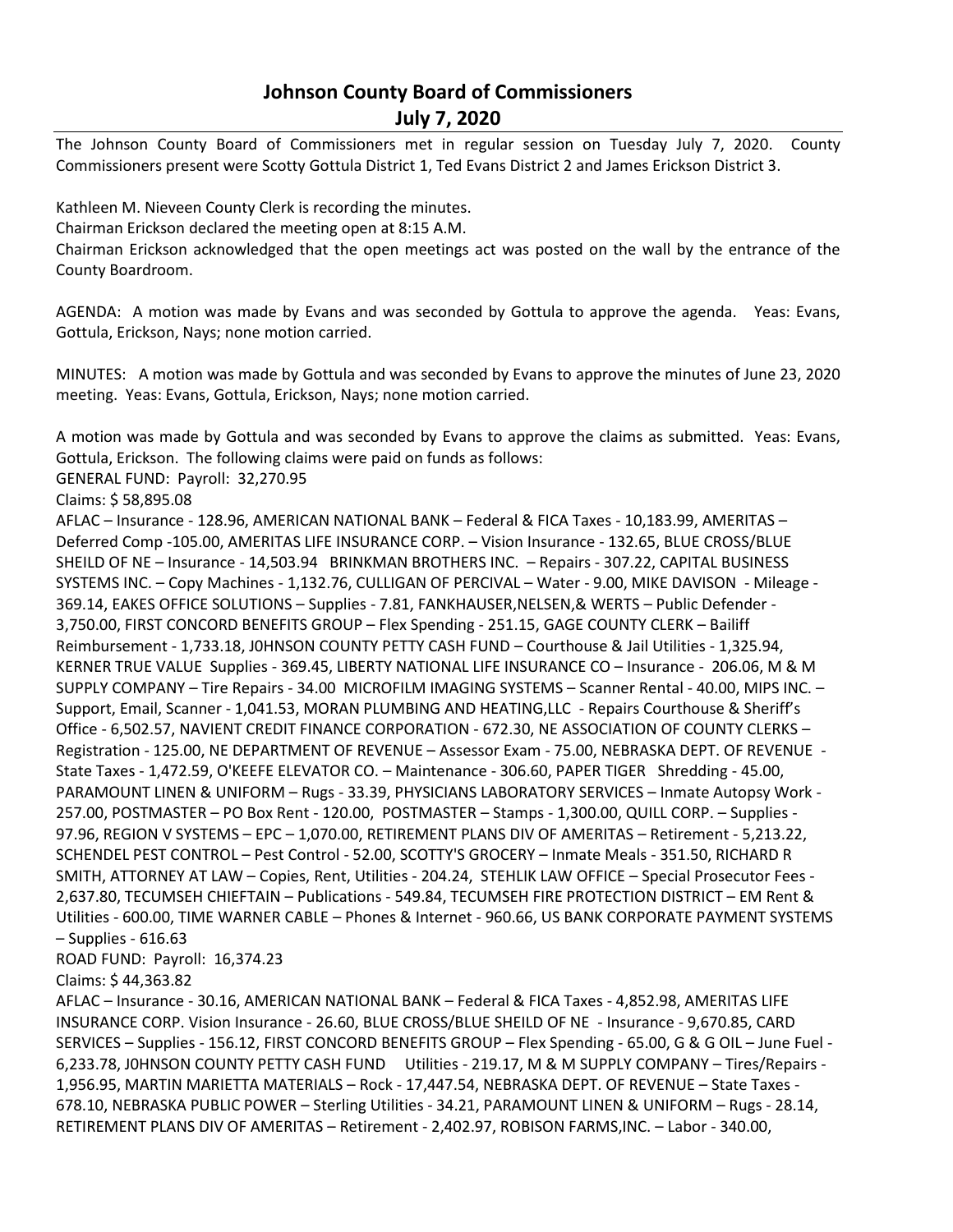## **Johnson County Board of Commissioners July 7, 2020**

The Johnson County Board of Commissioners met in regular session on Tuesday July 7, 2020. County Commissioners present were Scotty Gottula District 1, Ted Evans District 2 and James Erickson District 3.

Kathleen M. Nieveen County Clerk is recording the minutes. Chairman Erickson declared the meeting open at 8:15 A.M. Chairman Erickson acknowledged that the open meetings act was posted on the wall by the entrance of the

AGENDA: A motion was made by Evans and was seconded by Gottula to approve the agenda. Yeas: Evans, Gottula, Erickson, Nays; none motion carried.

MINUTES: A motion was made by Gottula and was seconded by Evans to approve the minutes of June 23, 2020 meeting. Yeas: Evans, Gottula, Erickson, Nays; none motion carried.

A motion was made by Gottula and was seconded by Evans to approve the claims as submitted. Yeas: Evans, Gottula, Erickson. The following claims were paid on funds as follows:

GENERAL FUND: Payroll: 32,270.95

Claims: \$ 58,895.08

County Boardroom.

AFLAC – Insurance - 128.96, AMERICAN NATIONAL BANK – Federal & FICA Taxes - 10,183.99, AMERITAS – Deferred Comp -105.00, AMERITAS LIFE INSURANCE CORP. – Vision Insurance - 132.65, BLUE CROSS/BLUE SHEILD OF NE – Insurance - 14,503.94 BRINKMAN BROTHERS INC. – Repairs - 307.22, CAPITAL BUSINESS SYSTEMS INC. – Copy Machines - 1,132.76, CULLIGAN OF PERCIVAL – Water - 9.00, MIKE DAVISON - Mileage - 369.14, EAKES OFFICE SOLUTIONS – Supplies - 7.81, FANKHAUSER,NELSEN,& WERTS – Public Defender - 3,750.00, FIRST CONCORD BENEFITS GROUP – Flex Spending - 251.15, GAGE COUNTY CLERK – Bailiff Reimbursement - 1,733.18, J0HNSON COUNTY PETTY CASH FUND – Courthouse & Jail Utilities - 1,325.94, KERNER TRUE VALUE Supplies - 369.45, LIBERTY NATIONAL LIFE INSURANCE CO – Insurance - 206.06, M & M SUPPLY COMPANY – Tire Repairs - 34.00 MICROFILM IMAGING SYSTEMS – Scanner Rental - 40.00, MIPS INC. – Support, Email, Scanner - 1,041.53, MORAN PLUMBING AND HEATING,LLC - Repairs Courthouse & Sheriff's Office - 6,502.57, NAVIENT CREDIT FINANCE CORPORATION - 672.30, NE ASSOCIATION OF COUNTY CLERKS – Registration - 125.00, NE DEPARTMENT OF REVENUE – Assessor Exam - 75.00, NEBRASKA DEPT. OF REVENUE - State Taxes - 1,472.59, O'KEEFE ELEVATOR CO. – Maintenance - 306.60, PAPER TIGER Shredding - 45.00, PARAMOUNT LINEN & UNIFORM – Rugs - 33.39, PHYSICIANS LABORATORY SERVICES – Inmate Autopsy Work - 257.00, POSTMASTER – PO Box Rent - 120.00, POSTMASTER – Stamps - 1,300.00, QUILL CORP. – Supplies - 97.96, REGION V SYSTEMS – EPC – 1,070.00, RETIREMENT PLANS DIV OF AMERITAS – Retirement - 5,213.22, SCHENDEL PEST CONTROL – Pest Control - 52.00, SCOTTY'S GROCERY – Inmate Meals - 351.50, RICHARD R SMITH, ATTORNEY AT LAW – Copies, Rent, Utilities - 204.24, STEHLIK LAW OFFICE – Special Prosecutor Fees - 2,637.80, TECUMSEH CHIEFTAIN – Publications - 549.84, TECUMSEH FIRE PROTECTION DISTRICT – EM Rent & Utilities - 600.00, TIME WARNER CABLE – Phones & Internet - 960.66, US BANK CORPORATE PAYMENT SYSTEMS – Supplies - 616.63

ROAD FUND: Payroll: 16,374.23

Claims: \$ 44,363.82

AFLAC – Insurance - 30.16, AMERICAN NATIONAL BANK – Federal & FICA Taxes - 4,852.98, AMERITAS LIFE INSURANCE CORP. Vision Insurance - 26.60, BLUE CROSS/BLUE SHEILD OF NE - Insurance - 9,670.85, CARD SERVICES – Supplies - 156.12, FIRST CONCORD BENEFITS GROUP – Flex Spending - 65.00, G & G OIL – June Fuel - 6,233.78, J0HNSON COUNTY PETTY CASH FUND Utilities - 219.17, M & M SUPPLY COMPANY – Tires/Repairs - 1,956.95, MARTIN MARIETTA MATERIALS – Rock - 17,447.54, NEBRASKA DEPT. OF REVENUE – State Taxes - 678.10, NEBRASKA PUBLIC POWER – Sterling Utilities - 34.21, PARAMOUNT LINEN & UNIFORM – Rugs - 28.14, RETIREMENT PLANS DIV OF AMERITAS – Retirement - 2,402.97, ROBISON FARMS,INC. – Labor - 340.00,